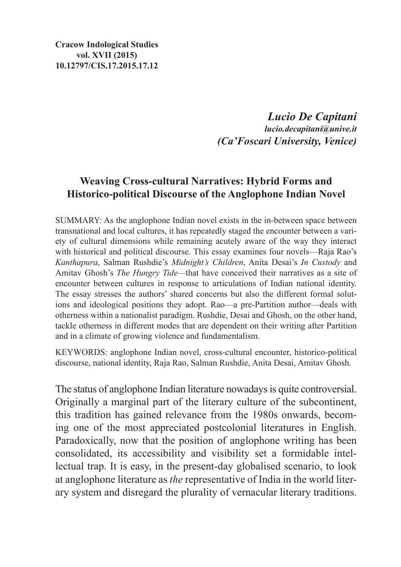**Cracow Indological Studies vol. XVII (2015) 10.12797/CIS.17.2015.17.12**

> *Lucio De Capitani lucio.decapitani@unive.it (Ca'Foscari University, Venice)*

## **Weaving Cross-cultural Narratives: Hybrid Forms and Historico-political Discourse of the Anglophone Indian Novel**

SUMMARY: As the anglophone Indian novel exists in the in-between space between transnational and local cultures, it has repeatedly staged the encounter between a variety of cultural dimensions while remaining acutely aware of the way they interact with historical and political discourse. This essay examines four novels—Raja Rao's *Kanthapura*, Salman Rushdie's *Midnight's Children*, Anita Desai's *In Custody* and Amitav Ghosh's *The Hungry Tide—*that have conceived their narratives as a site of encounter between cultures in response to articulations of Indian national identity. The essay stresses the authors' shared concerns but also the different formal solutions and ideological positions they adopt. Rao—a pre-Partition author—deals with otherness within a nationalist paradigm. Rushdie, Desai and Ghosh, on the other hand, tackle otherness in different modes that are dependent on their writing after Partition and in a climate of growing violence and fundamentalism.

KEYWORDS: anglophone Indian novel, cross-cultural encounter, historico-political discourse, national identity, Raja Rao, Salman Rushdie, Anita Desai, Amitav Ghosh.

The status of anglophone Indian literature nowadays is quite controversial. Originally a marginal part of the literary culture of the subcontinent, this tradition has gained relevance from the 1980s onwards, becoming one of the most appreciated postcolonial literatures in English. Paradoxically, now that the position of anglophone writing has been consolidated, its accessibility and visibility set a formidable intellectual trap. It is easy, in the present-day globalised scenario, to look at anglophone literature as *the* representative of India in the world literary system and disregard the plurality of vernacular literary traditions.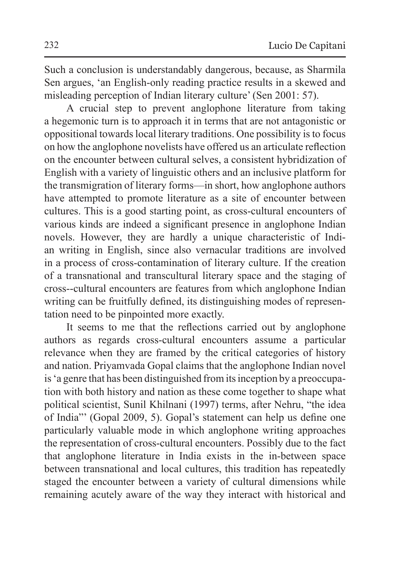Such a conclusion is understandably dangerous, because, as Sharmila Sen argues, 'an English-only reading practice results in a skewed and misleading perception of Indian literary culture' (Sen 2001: 57).

A crucial step to prevent anglophone literature from taking a hegemonic turn is to approach it in terms that are not antagonistic or oppositional towards local literary traditions. One possibility isto focus on how the anglophone novelists have offered us an articulate reflection on the encounter between cultural selves, a consistent hybridization of English with a variety of linguistic others and an inclusive platform for the transmigration of literary forms—in short, how anglophone authors have attempted to promote literature as a site of encounter between cultures. This is a good starting point, as cross-cultural encounters of various kinds are indeed a significant presence in anglophone Indian novels. However, they are hardly a unique characteristic of Indian writing in English, since also vernacular traditions are involved in a process of cross-contamination of literary culture. If the creation of a transnational and transcultural literary space and the staging of cross--cultural encounters are features from which anglophone Indian writing can be fruitfully defined, its distinguishing modes of representation need to be pinpointed more exactly.

It seems to me that the reflections carried out by anglophone authors as regards cross-cultural encounters assume a particular relevance when they are framed by the critical categories of history and nation. Priyamvada Gopal claims that the anglophone Indian novel is'a genre that has been distinguished from its inception by a preoccupation with both history and nation as these come together to shape what political scientist, Sunil Khilnani (1997) terms, after Nehru, "the idea of India"' (Gopal 2009, 5). Gopal's statement can help us define one particularly valuable mode in which anglophone writing approaches the representation of cross-cultural encounters. Possibly due to the fact that anglophone literature in India exists in the in-between space between transnational and local cultures, this tradition has repeatedly staged the encounter between a variety of cultural dimensions while remaining acutely aware of the way they interact with historical and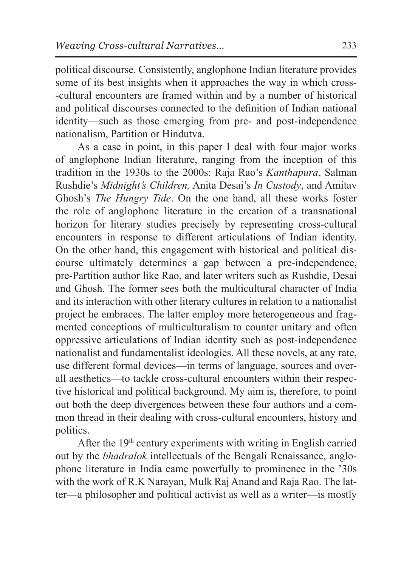political discourse. Consistently, anglophone Indian literature provides some of its best insights when it approaches the way in which cross- -cultural encounters are framed within and by a number of historical and political discourses connected to the definition of Indian national identity—such as those emerging from pre- and post-independence nationalism, Partition or Hindutva.

As a case in point, in this paper I deal with four major works of anglophone Indian literature, ranging from the inception of this tradition in the 1930s to the 2000s: Raja Rao's *Kanthapura*, Salman Rushdie's *Midnight's Children,* Anita Desai's *In Custody*, and Amitav Ghosh's *The Hungry Tide*. On the one hand, all these works foster the role of anglophone literature in the creation of a transnational horizon for literary studies precisely by representing cross-cultural encounters in response to different articulations of Indian identity. On the other hand, this engagement with historical and political discourse ultimately determines a gap between a pre-independence, pre-Partition author like Rao, and later writers such as Rushdie, Desai and Ghosh. The former sees both the multicultural character of India and its interaction with other literary cultures in relation to a nationalist project he embraces. The latter employ more heterogeneous and fragmented conceptions of multiculturalism to counter unitary and often oppressive articulations of Indian identity such as post-independence nationalist and fundamentalist ideologies. All these novels, at any rate, use different formal devices—in terms of language, sources and overall aesthetics—to tackle cross-cultural encounters within their respective historical and political background. My aim is, therefore, to point out both the deep divergences between these four authors and a common thread in their dealing with cross-cultural encounters, history and politics.

After the  $19<sup>th</sup>$  century experiments with writing in English carried out by the *bhadralok* intellectuals of the Bengali Renaissance, anglophone literature in India came powerfully to prominence in the '30s with the work of R.K Narayan, Mulk Raj Anand and Raja Rao. The latter—a philosopher and political activist as well as a writer—is mostly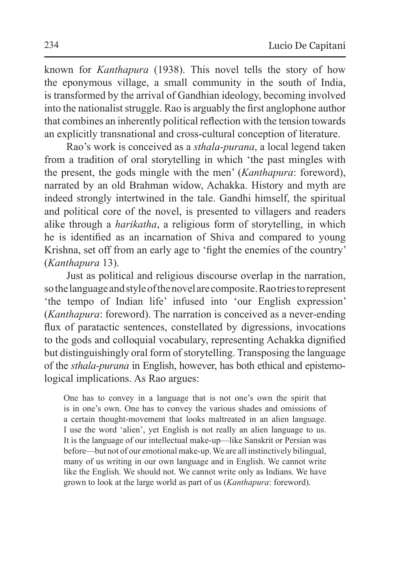known for *Kanthapura* (1938). This novel tells the story of how the eponymous village, a small community in the south of India, is transformed by the arrival of Gandhian ideology, becoming involved into the nationalist struggle. Rao is arguably the first anglophone author that combines an inherently political reflection with the tension towards an explicitly transnational and cross-cultural conception of literature.

Rao's work is conceived as a *sthala-purana*, a local legend taken from a tradition of oral storytelling in which 'the past mingles with the present, the gods mingle with the men' (*Kanthapura*: foreword), narrated by an old Brahman widow, Achakka. History and myth are indeed strongly intertwined in the tale. Gandhi himself, the spiritual and political core of the novel, is presented to villagers and readers alike through a *harikatha*, a religious form of storytelling, in which he is identified as an incarnation of Shiva and compared to young Krishna, set off from an early age to 'fight the enemies of the country' (*Kanthapura* 13).

Just as political and religious discourse overlap in the narration, sothelanguage and style of thenovel are composite. Raotries torepresent 'the tempo of Indian life' infused into 'our English expression' (*Kanthapura*: foreword). The narration is conceived as a never-ending flux of paratactic sentences, constellated by digressions, invocations to the gods and colloquial vocabulary, representing Achakka dignified but distinguishingly oral form of storytelling. Transposing the language of the *sthala-purana* in English, however, has both ethical and epistemological implications. As Rao argues:

One has to convey in a language that is not one's own the spirit that is in one's own. One has to convey the various shades and omissions of a certain thought-movement that looks maltreated in an alien language. I use the word 'alien', yet English is not really an alien language to us. It is the language of our intellectual make-up—like Sanskrit or Persian was before—but not of our emotional make-up. We are all instinctively bilingual, many of us writing in our own language and in English. We cannot write like the English. We should not. We cannot write only as Indians. We have grown to look at the large world as part of us (*Kanthapura*: foreword).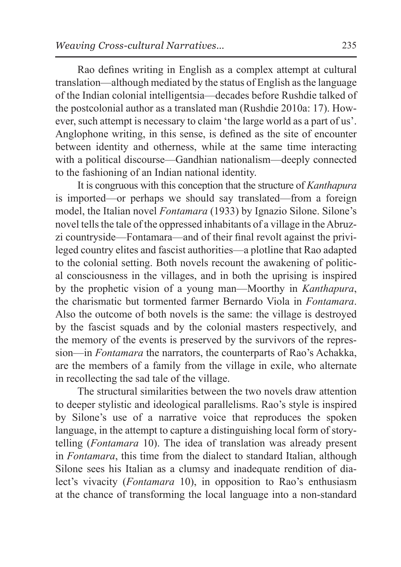Rao defines writing in English as a complex attempt at cultural translation—although mediated by the status of English asthe language of the Indian colonial intelligentsia—decades before Rushdie talked of the postcolonial author as a translated man (Rushdie 2010a: 17). However, such attempt is necessary to claim 'the large world as a part of us'. Anglophone writing, in this sense, is defined as the site of encounter between identity and otherness, while at the same time interacting with a political discourse—Gandhian nationalism—deeply connected to the fashioning of an Indian national identity.

It is congruous with this conception that the structure of *Kanthapura* is imported—or perhaps we should say translated—from a foreign model, the Italian novel *Fontamara* (1933) by Ignazio Silone. Silone's novel tells the tale of the oppressed inhabitants of a village in theAbruzzi countryside—Fontamara—and of their final revolt against the privileged country elites and fascist authorities—a plotline that Rao adapted to the colonial setting. Both novels recount the awakening of political consciousness in the villages, and in both the uprising is inspired by the prophetic vision of a young man—Moorthy in *Kanthapura*, the charismatic but tormented farmer Bernardo Viola in *Fontamara*. Also the outcome of both novels is the same: the village is destroyed by the fascist squads and by the colonial masters respectively, and the memory of the events is preserved by the survivors of the repression—in *Fontamara* the narrators, the counterparts of Rao's Achakka, are the members of a family from the village in exile, who alternate in recollecting the sad tale of the village.

The structural similarities between the two novels draw attention to deeper stylistic and ideological parallelisms. Rao's style is inspired by Silone's use of a narrative voice that reproduces the spoken language, in the attempt to capture a distinguishing local form of storytelling (*Fontamara* 10). The idea of translation was already present in *Fontamara*, this time from the dialect to standard Italian, although Silone sees his Italian as a clumsy and inadequate rendition of dialect's vivacity (*Fontamara* 10), in opposition to Rao's enthusiasm at the chance of transforming the local language into a non-standard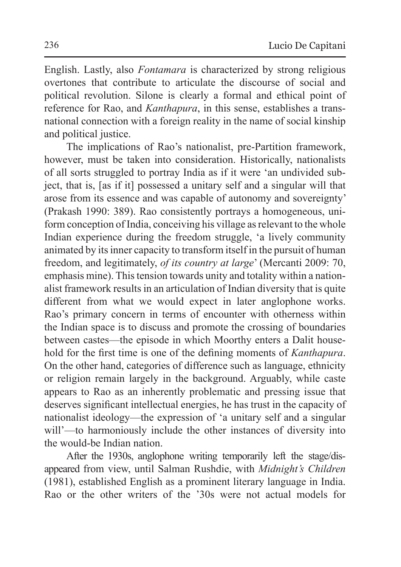English. Lastly, also *Fontamara* is characterized by strong religious overtones that contribute to articulate the discourse of social and political revolution. Silone is clearly a formal and ethical point of reference for Rao, and *Kanthapura*, in this sense, establishes a transnational connection with a foreign reality in the name of social kinship and political justice.

The implications of Rao's nationalist, pre-Partition framework, however, must be taken into consideration. Historically, nationalists of all sorts struggled to portray India as if it were 'an undivided subject, that is, [as if it] possessed a unitary self and a singular will that arose from its essence and was capable of autonomy and sovereignty' (Prakash 1990: 389). Rao consistently portrays a homogeneous, uniform conception of India, conceiving his village as relevant to the whole Indian experience during the freedom struggle, 'a lively community animated by its inner capacity to transform itself in the pursuit of human freedom, and legitimately, *of its country at large*' (Mercanti 2009: 70, emphasis mine). This tension towards unity and totality within a nationalist framework results in an articulation of Indian diversity that is quite different from what we would expect in later anglophone works. Rao's primary concern in terms of encounter with otherness within the Indian space is to discuss and promote the crossing of boundaries between castes—the episode in which Moorthy enters a Dalit household for the first time is one of the defining moments of *Kanthapura*. On the other hand, categories of difference such as language, ethnicity or religion remain largely in the background. Arguably, while caste appears to Rao as an inherently problematic and pressing issue that deserves significant intellectual energies, he has trust in the capacity of nationalist ideology—the expression of 'a unitary self and a singular will'—to harmoniously include the other instances of diversity into the would-be Indian nation.

After the 1930s, anglophone writing temporarily left the stage/disappeared from view, until Salman Rushdie, with *Midnight's Children* (1981), established English as a prominent literary language in India. Rao or the other writers of the '30s were not actual models for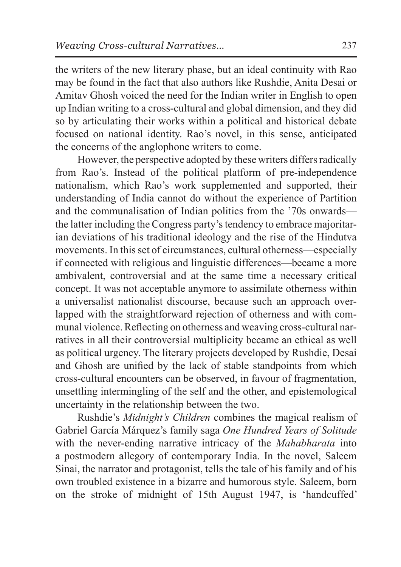the writers of the new literary phase, but an ideal continuity with Rao may be found in the fact that also authors like Rushdie, Anita Desai or Amitav Ghosh voiced the need for the Indian writer in English to open up Indian writing to a cross-cultural and global dimension, and they did so by articulating their works within a political and historical debate focused on national identity. Rao's novel, in this sense, anticipated the concerns of the anglophone writers to come.

However, the perspective adopted by these writers differs radically from Rao's. Instead of the political platform of pre-independence nationalism, which Rao's work supplemented and supported, their understanding of India cannot do without the experience of Partition and the communalisation of Indian politics from the '70s onwards the latter including the Congress party's tendency to embrace majoritarian deviations of his traditional ideology and the rise of the Hindutva movements. In this set of circumstances, cultural otherness—especially if connected with religious and linguistic differences—became a more ambivalent, controversial and at the same time a necessary critical concept. It was not acceptable anymore to assimilate otherness within a universalist nationalist discourse, because such an approach overlapped with the straightforward rejection of otherness and with communal violence. Reflecting on otherness and weaving cross-cultural narratives in all their controversial multiplicity became an ethical as well as political urgency. The literary projects developed by Rushdie, Desai and Ghosh are unified by the lack of stable standpoints from which cross-cultural encounters can be observed, in favour of fragmentation, unsettling intermingling of the self and the other, and epistemological uncertainty in the relationship between the two.

Rushdie's *Midnight's Children* combines the magical realism of Gabriel García Márquez's family saga *One Hundred Years of Solitude*  with the never-ending narrative intricacy of the *Mahabharata* into a postmodern allegory of contemporary India. In the novel, Saleem Sinai, the narrator and protagonist, tells the tale of his family and of his own troubled existence in a bizarre and humorous style. Saleem, born on the stroke of midnight of 15th August 1947, is 'handcuffed'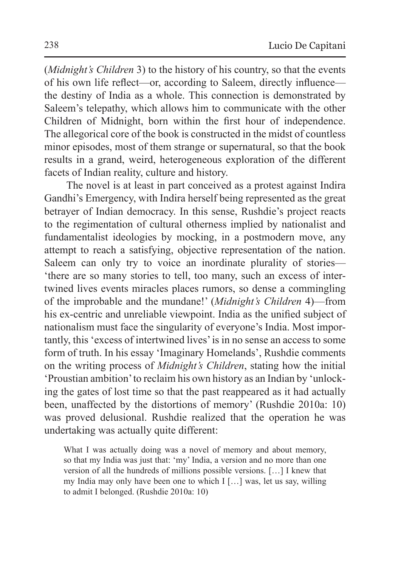(*Midnight's Children* 3) to the history of his country, so that the events of his own life reflect—or, according to Saleem, directly influence the destiny of India as a whole. This connection is demonstrated by Saleem's telepathy, which allows him to communicate with the other Children of Midnight, born within the first hour of independence. The allegorical core of the book is constructed in the midst of countless minor episodes, most of them strange or supernatural, so that the book results in a grand, weird, heterogeneous exploration of the different facets of Indian reality, culture and history.

The novel is at least in part conceived as a protest against Indira Gandhi's Emergency, with Indira herself being represented as the great betrayer of Indian democracy. In this sense, Rushdie's project reacts to the regimentation of cultural otherness implied by nationalist and fundamentalist ideologies by mocking, in a postmodern move, any attempt to reach a satisfying, objective representation of the nation. Saleem can only try to voice an inordinate plurality of stories— 'there are so many stories to tell, too many, such an excess of intertwined lives events miracles places rumors, so dense a commingling of the improbable and the mundane!' (*Midnight's Children* 4)—from his ex-centric and unreliable viewpoint. India as the unified subject of nationalism must face the singularity of everyone's India. Most importantly, this 'excess of intertwined lives' is in no sense an access to some form of truth. In his essay 'Imaginary Homelands', Rushdie comments on the writing process of *Midnight's Children*, stating how the initial 'Proustian ambition' to reclaim his own history as an Indian by 'unlocking the gates of lost time so that the past reappeared as it had actually been, unaffected by the distortions of memory' (Rushdie 2010a: 10) was proved delusional. Rushdie realized that the operation he was undertaking was actually quite different:

What I was actually doing was a novel of memory and about memory, so that my India was just that: 'my' India, a version and no more than one version of all the hundreds of millions possible versions. […] I knew that my India may only have been one to which I […] was, let us say, willing to admit I belonged. (Rushdie 2010a: 10)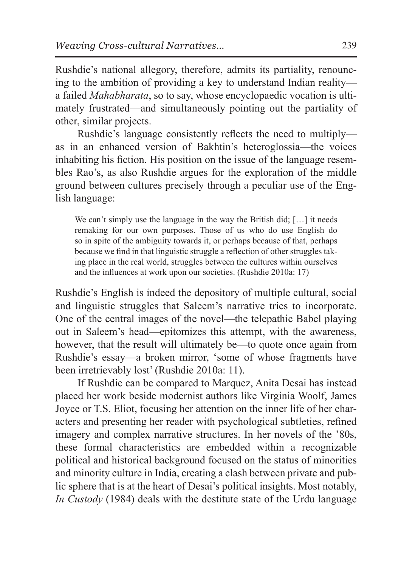Rushdie's national allegory, therefore, admits its partiality, renouncing to the ambition of providing a key to understand Indian reality a failed *Mahabharata*, so to say, whose encyclopaedic vocation is ultimately frustrated—and simultaneously pointing out the partiality of other, similar projects.

Rushdie's language consistently reflects the need to multiply as in an enhanced version of Bakhtin's heteroglossia—the voices inhabiting his fiction. His position on the issue of the language resembles Rao's, as also Rushdie argues for the exploration of the middle ground between cultures precisely through a peculiar use of the English language:

We can't simply use the language in the way the British did; [...] it needs remaking for our own purposes. Those of us who do use English do so in spite of the ambiguity towards it, or perhaps because of that, perhaps because we find in that linguistic struggle a reflection of other struggles taking place in the real world, struggles between the cultures within ourselves and the influences at work upon our societies. (Rushdie 2010a: 17)

Rushdie's English is indeed the depository of multiple cultural, social and linguistic struggles that Saleem's narrative tries to incorporate. One of the central images of the novel—the telepathic Babel playing out in Saleem's head—epitomizes this attempt, with the awareness, however, that the result will ultimately be—to quote once again from Rushdie's essay—a broken mirror, 'some of whose fragments have been irretrievably lost' (Rushdie 2010a: 11).

If Rushdie can be compared to Marquez, Anita Desai has instead placed her work beside modernist authors like Virginia Woolf, James Joyce or T.S. Eliot, focusing her attention on the inner life of her characters and presenting her reader with psychological subtleties, refined imagery and complex narrative structures. In her novels of the '80s, these formal characteristics are embedded within a recognizable political and historical background focused on the status of minorities and minority culture in India, creating a clash between private and public sphere that is at the heart of Desai's political insights. Most notably, *In Custody* (1984) deals with the destitute state of the Urdu language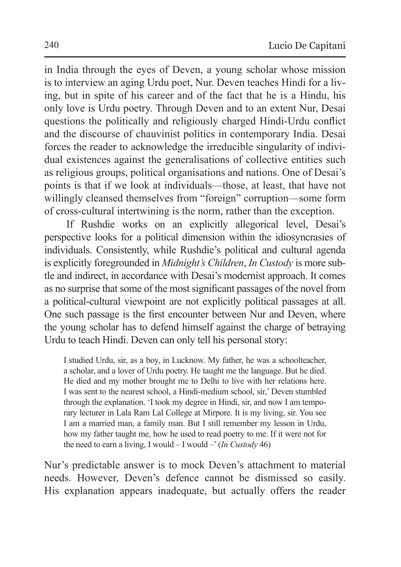in India through the eyes of Deven, a young scholar whose mission is to interview an aging Urdu poet, Nur. Deven teaches Hindi for a living, but in spite of his career and of the fact that he is a Hindu, his only love is Urdu poetry. Through Deven and to an extent Nur, Desai questions the politically and religiously charged Hindi-Urdu conflict and the discourse of chauvinist politics in contemporary India. Desai forces the reader to acknowledge the irreducible singularity of individual existences against the generalisations of collective entities such as religious groups, political organisations and nations. One of Desai's points is that if we look at individuals—those, at least, that have not willingly cleansed themselves from "foreign" corruption—some form of cross-cultural intertwining is the norm, rather than the exception.

If Rushdie works on an explicitly allegorical level, Desai's perspective looks for a political dimension within the idiosyncrasies of individuals. Consistently, while Rushdie's political and cultural agenda is explicitly foregrounded in *Midnight's Children*, *In Custody* is more subtle and indirect, in accordance with Desai's modernist approach. It comes as no surprise that some of the most significant passages of the novel from a political-cultural viewpoint are not explicitly political passages at all. One such passage is the first encounter between Nur and Deven, where the young scholar has to defend himself against the charge of betraying Urdu to teach Hindi. Deven can only tell his personal story:

I studied Urdu, sir, as a boy, in Lucknow. My father, he was a schoolteacher, a scholar, and a lover of Urdu poetry. He taught me the language. But he died. He died and my mother brought me to Delhi to live with her relations here. I was sent to the nearest school, a Hindi-medium school, sir,' Deven stumbled through the explanation. 'I took my degree in Hindi, sir, and now I am temporary lecturer in Lala Ram Lal College at Mirpore. It is my living, sir. You see I am a married man, a family man. But I still remember my lesson in Urdu, how my father taught me, how he used to read poetry to me. If it were not for the need to earn a living, I would – I would –' (*In Custody* 46)

Nur's predictable answer is to mock Deven's attachment to material needs. However, Deven's defence cannot be dismissed so easily. His explanation appears inadequate, but actually offers the reader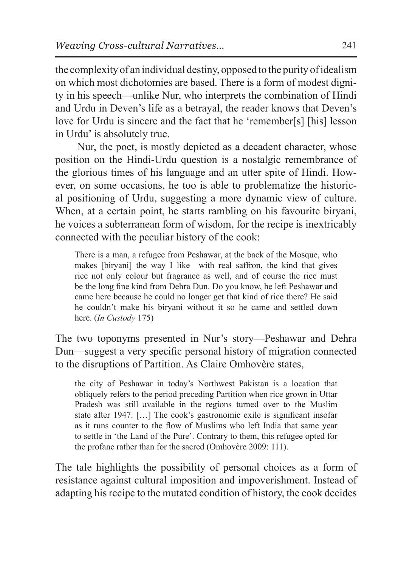the complexity of an individual destiny, opposed to the purity of idealism on which most dichotomies are based. There is a form of modest dignity in his speech—unlike Nur, who interprets the combination of Hindi and Urdu in Deven's life as a betrayal, the reader knows that Deven's love for Urdu is sincere and the fact that he 'remember[s] [his] lesson in Urdu' is absolutely true.

Nur, the poet, is mostly depicted as a decadent character, whose position on the Hindi-Urdu question is a nostalgic remembrance of the glorious times of his language and an utter spite of Hindi. However, on some occasions, he too is able to problematize the historical positioning of Urdu, suggesting a more dynamic view of culture. When, at a certain point, he starts rambling on his favourite biryani, he voices a subterranean form of wisdom, for the recipe is inextricably connected with the peculiar history of the cook:

There is a man, a refugee from Peshawar, at the back of the Mosque, who makes [biryani] the way I like—with real saffron, the kind that gives rice not only colour but fragrance as well, and of course the rice must be the long fine kind from Dehra Dun. Do you know, he left Peshawar and came here because he could no longer get that kind of rice there? He said he couldn't make his biryani without it so he came and settled down here. (*In Custody* 175)

The two toponyms presented in Nur's story—Peshawar and Dehra Dun—suggest a very specific personal history of migration connected to the disruptions of Partition. As Claire Omhovère states,

the city of Peshawar in today's Northwest Pakistan is a location that obliquely refers to the period preceding Partition when rice grown in Uttar Pradesh was still available in the regions turned over to the Muslim state after 1947. […] The cook's gastronomic exile is significant insofar as it runs counter to the flow of Muslims who left India that same year to settle in 'the Land of the Pure'. Contrary to them, this refugee opted for the profane rather than for the sacred (Omhovère 2009: 111).

The tale highlights the possibility of personal choices as a form of resistance against cultural imposition and impoverishment. Instead of adapting his recipe to the mutated condition of history, the cook decides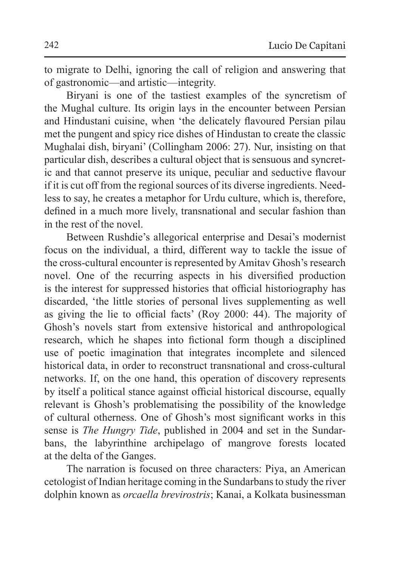to migrate to Delhi, ignoring the call of religion and answering that of gastronomic—and artistic—integrity.

Biryani is one of the tastiest examples of the syncretism of the Mughal culture. Its origin lays in the encounter between Persian and Hindustani cuisine, when 'the delicately flavoured Persian pilau met the pungent and spicy rice dishes of Hindustan to create the classic Mughalai dish, biryani' (Collingham 2006: 27). Nur, insisting on that particular dish, describes a cultural object that is sensuous and syncretic and that cannot preserve its unique, peculiar and seductive flavour if it is cut off from the regional sources of its diverse ingredients. Needless to say, he creates a metaphor for Urdu culture, which is, therefore, defined in a much more lively, transnational and secular fashion than in the rest of the novel.

Between Rushdie's allegorical enterprise and Desai's modernist focus on the individual, a third, different way to tackle the issue of the cross-cultural encounter is represented by Amitav Ghosh's research novel. One of the recurring aspects in his diversified production is the interest for suppressed histories that official historiography has discarded, 'the little stories of personal lives supplementing as well as giving the lie to official facts' (Roy 2000: 44). The majority of Ghosh's novels start from extensive historical and anthropological research, which he shapes into fictional form though a disciplined use of poetic imagination that integrates incomplete and silenced historical data, in order to reconstruct transnational and cross-cultural networks. If, on the one hand, this operation of discovery represents by itself a political stance against official historical discourse, equally relevant is Ghosh's problematising the possibility of the knowledge of cultural otherness. One of Ghosh's most significant works in this sense is *The Hungry Tide*, published in 2004 and set in the Sundarbans, the labyrinthine archipelago of mangrove forests located at the delta of the Ganges.

The narration is focused on three characters: Piya, an American cetologist of Indian heritage coming in the Sundarbans to study the river dolphin known as *orcaella brevirostris*; Kanai, a Kolkata businessman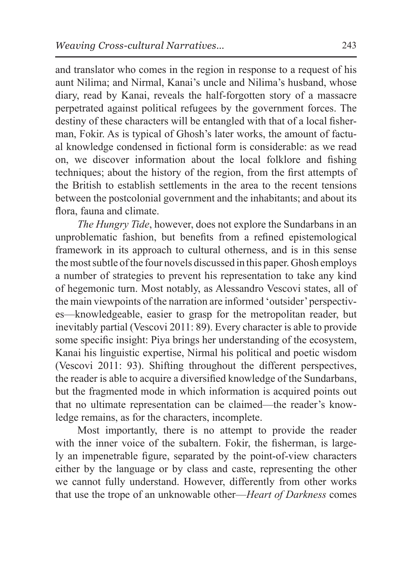and translator who comes in the region in response to a request of his aunt Nilima; and Nirmal, Kanai's uncle and Nilima's husband, whose diary, read by Kanai, reveals the half-forgotten story of a massacre perpetrated against political refugees by the government forces. The destiny of these characters will be entangled with that of a local fisherman, Fokir. As is typical of Ghosh's later works, the amount of factual knowledge condensed in fictional form is considerable: as we read on, we discover information about the local folklore and fishing techniques; about the history of the region, from the first attempts of the British to establish settlements in the area to the recent tensions between the postcolonial government and the inhabitants; and about its flora, fauna and climate.

*The Hungry Tide*, however, does not explore the Sundarbans in an unproblematic fashion, but benefits from a refined epistemological framework in its approach to cultural otherness, and is in this sense themost subtle of the four novels discussed in this paper. Ghosh employs a number of strategies to prevent his representation to take any kind of hegemonic turn. Most notably, as Alessandro Vescovi states, all of the main viewpoints of the narration are informed 'outsider' perspectives—knowledgeable, easier to grasp for the metropolitan reader, but inevitably partial (Vescovi 2011: 89). Every character is able to provide some specific insight: Piya brings her understanding of the ecosystem, Kanai his linguistic expertise, Nirmal his political and poetic wisdom (Vescovi 2011: 93). Shifting throughout the different perspectives, the reader is able to acquire a diversified knowledge of the Sundarbans, but the fragmented mode in which information is acquired points out that no ultimate representation can be claimed—the reader's knowledge remains, as for the characters, incomplete.

Most importantly, there is no attempt to provide the reader with the inner voice of the subaltern. Fokir, the fisherman, is largely an impenetrable figure, separated by the point-of-view characters either by the language or by class and caste, representing the other we cannot fully understand. However, differently from other works that use the trope of an unknowable other—*Heart of Darkness* comes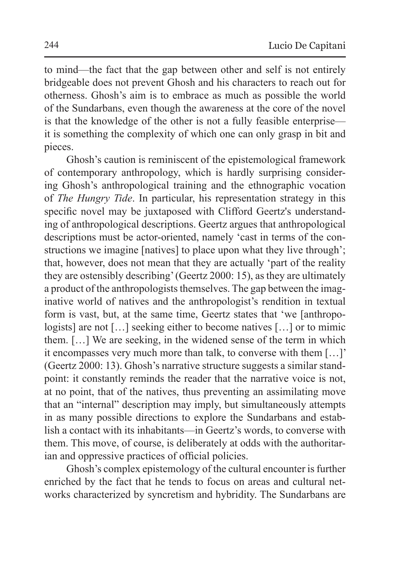to mind—the fact that the gap between other and self is not entirely bridgeable does not prevent Ghosh and his characters to reach out for otherness. Ghosh's aim is to embrace as much as possible the world of the Sundarbans, even though the awareness at the core of the novel is that the knowledge of the other is not a fully feasible enterprise it is something the complexity of which one can only grasp in bit and pieces.

Ghosh's caution is reminiscent of the epistemological framework of contemporary anthropology, which is hardly surprising considering Ghosh's anthropological training and the ethnographic vocation of *The Hungry Tide*. In particular, his representation strategy in this specific novel may be juxtaposed with Clifford Geertz's understanding of anthropological descriptions. Geertz argues that anthropological descriptions must be actor-oriented, namely 'cast in terms of the constructions we imagine [natives] to place upon what they live through'; that, however, does not mean that they are actually 'part of the reality they are ostensibly describing' (Geertz 2000: 15), as they are ultimately a product of the anthropologists themselves. The gap between the imaginative world of natives and the anthropologist's rendition in textual form is vast, but, at the same time, Geertz states that 'we [anthropologists] are not […] seeking either to become natives […] or to mimic them. […] We are seeking, in the widened sense of the term in which it encompasses very much more than talk, to converse with them […]' (Geertz 2000: 13). Ghosh's narrative structure suggests a similar standpoint: it constantly reminds the reader that the narrative voice is not, at no point, that of the natives, thus preventing an assimilating move that an "internal" description may imply, but simultaneously attempts in as many possible directions to explore the Sundarbans and establish a contact with its inhabitants—in Geertz's words, to converse with them. This move, of course, is deliberately at odds with the authoritarian and oppressive practices of official policies.

Ghosh's complex epistemology of the cultural encounter is further enriched by the fact that he tends to focus on areas and cultural networks characterized by syncretism and hybridity. The Sundarbans are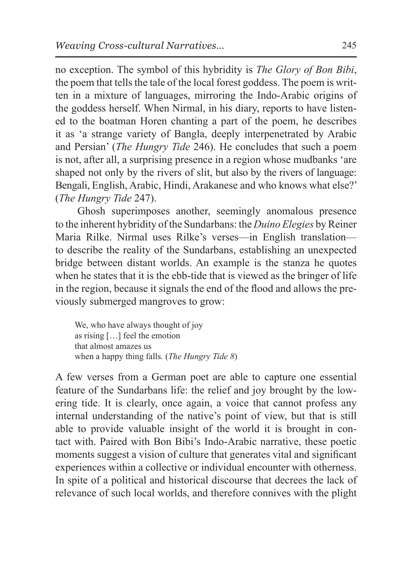no exception. The symbol of this hybridity is *The Glory of Bon Bibi*, the poem that tells the tale of the local forest goddess. The poem is written in a mixture of languages, mirroring the Indo-Arabic origins of the goddess herself. When Nirmal, in his diary, reports to have listened to the boatman Horen chanting a part of the poem, he describes it as 'a strange variety of Bangla, deeply interpenetrated by Arabic and Persian' (*The Hungry Tide* 246). He concludes that such a poem is not, after all, a surprising presence in a region whose mudbanks 'are shaped not only by the rivers of slit, but also by the rivers of language: Bengali, English, Arabic, Hindi, Arakanese and who knows what else?' (*The Hungry Tide* 247).

Ghosh superimposes another, seemingly anomalous presence to the inherent hybridity of the Sundarbans: the *Duino Elegies* by Reiner Maria Rilke. Nirmal uses Rilke's verses—in English translation to describe the reality of the Sundarbans, establishing an unexpected bridge between distant worlds. An example is the stanza he quotes when he states that it is the ebb-tide that is viewed as the bringer of life in the region, because it signals the end of the flood and allows the previously submerged mangroves to grow:

We, who have always thought of joy as rising […] feel the emotion that almost amazes us when a happy thing falls*.* (*The Hungry Tide 8*)

A few verses from a German poet are able to capture one essential feature of the Sundarbans life: the relief and joy brought by the lowering tide. It is clearly, once again, a voice that cannot profess any internal understanding of the native's point of view, but that is still able to provide valuable insight of the world it is brought in contact with. Paired with Bon Bibi's Indo-Arabic narrative, these poetic moments suggest a vision of culture that generates vital and significant experiences within a collective or individual encounter with otherness. In spite of a political and historical discourse that decrees the lack of relevance of such local worlds, and therefore connives with the plight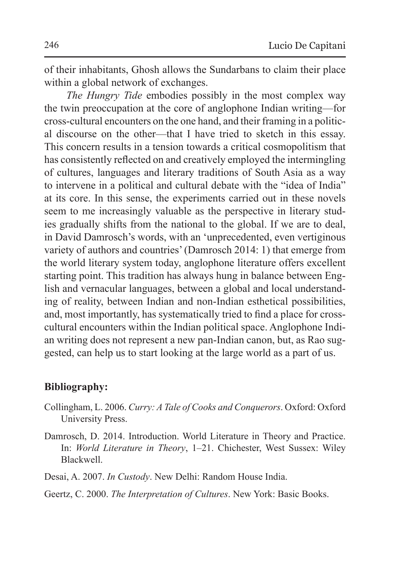of their inhabitants, Ghosh allows the Sundarbans to claim their place within a global network of exchanges.

*The Hungry Tide* embodies possibly in the most complex way the twin preoccupation at the core of anglophone Indian writing—for cross-cultural encounters on the one hand, and their framing in a political discourse on the other—that I have tried to sketch in this essay. This concern results in a tension towards a critical cosmopolitism that has consistently reflected on and creatively employed the intermingling of cultures, languages and literary traditions of South Asia as a way to intervene in a political and cultural debate with the "idea of India" at its core. In this sense, the experiments carried out in these novels seem to me increasingly valuable as the perspective in literary studies gradually shifts from the national to the global. If we are to deal, in David Damrosch's words, with an 'unprecedented, even vertiginous variety of authors and countries' (Damrosch 2014: 1) that emerge from the world literary system today, anglophone literature offers excellent starting point. This tradition has always hung in balance between English and vernacular languages, between a global and local understanding of reality, between Indian and non-Indian esthetical possibilities, and, most importantly, has systematically tried to find a place for crosscultural encounters within the Indian political space. Anglophone Indian writing does not represent a new pan-Indian canon, but, as Rao suggested, can help us to start looking at the large world as a part of us.

## **Bibliography:**

- Collingham, L. 2006. *Curry: A Tale of Cooks and Conquerors*. Oxford: Oxford University Press.
- Damrosch, D. 2014. Introduction. World Literature in Theory and Practice. In: *World Literature in Theory*, 1–21. Chichester, West Sussex: Wiley Blackwell.

Desai, A. 2007. *In Custody*. New Delhi: Random House India.

Geertz, C. 2000. *The Interpretation of Cultures*. New York: Basic Books.